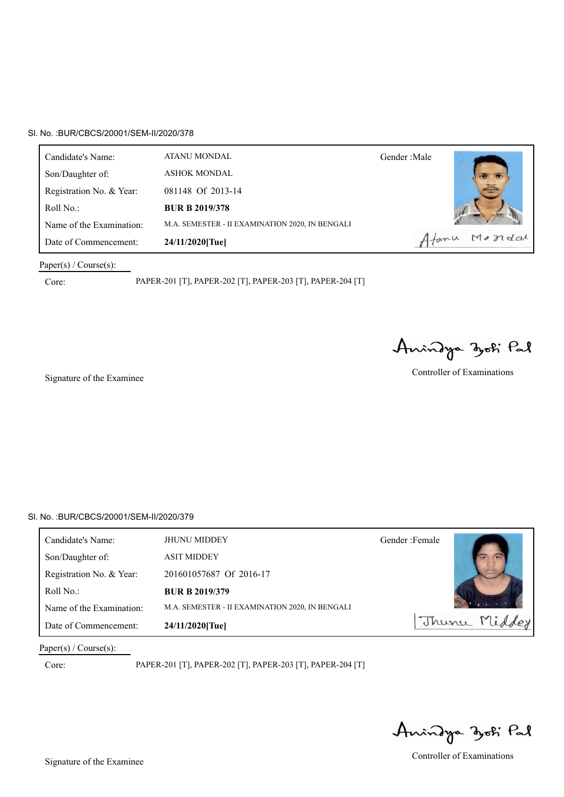| Candidate's Name:        | ATANU MONDAL                                    | Gender: Male |
|--------------------------|-------------------------------------------------|--------------|
| Son/Daughter of:         | <b>ASHOK MONDAL</b>                             |              |
| Registration No. & Year: | 081148 Of 2013-14                               |              |
| Roll $No.$ :             | <b>BUR B 2019/378</b>                           |              |
| Name of the Examination: | M.A. SEMESTER - II EXAMINATION 2020, IN BENGALI |              |
| Date of Commencement:    | 24/11/2020[Tue]                                 | Atanu Mondal |

### Paper(s) / Course(s):

Core: PAPER-201 [T], PAPER-202 [T], PAPER-203 [T], PAPER-204 [T]

Anindya zoti Pal

Signature of the Examinee Controller of Examinations

# Sl. No. :BUR/CBCS/20001/SEM-II/2020/379

| Candidate's Name:        | <b>JHUNU MIDDEY</b>                             | Gender: Female |  |
|--------------------------|-------------------------------------------------|----------------|--|
| Son/Daughter of:         | <b>ASIT MIDDEY</b>                              |                |  |
| Registration No. & Year: | 201601057687 Of 2016-17                         |                |  |
| Roll No.:                | <b>BUR B 2019/379</b>                           |                |  |
| Name of the Examination: | M.A. SEMESTER - II EXAMINATION 2020, IN BENGALI |                |  |
| Date of Commencement:    | 24/11/2020[Tue]                                 | Thunu          |  |

Paper(s) / Course(s):

Anindya zoti Pal

Signature of the Examinee Controller of Examinations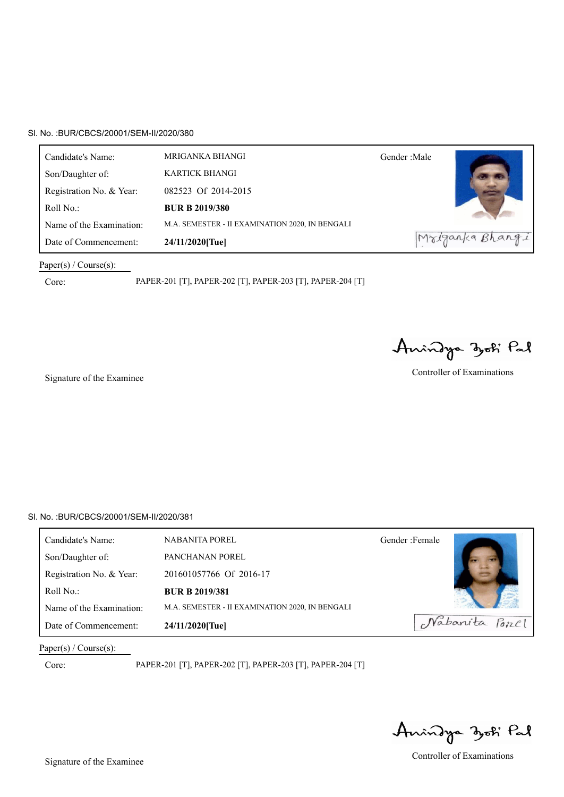| Candidate's Name:        | MRIGANKA BHANGI                                 | Gender : Male |                 |
|--------------------------|-------------------------------------------------|---------------|-----------------|
| Son/Daughter of:         | KARTICK BHANGI                                  |               |                 |
| Registration No. & Year: | 082523 Of 2014-2015                             |               |                 |
| Roll $No.$ :             | <b>BUR B 2019/380</b>                           |               |                 |
| Name of the Examination: | M.A. SEMESTER - II EXAMINATION 2020, IN BENGALI |               |                 |
| Date of Commencement:    | 24/11/2020[Tue]                                 |               | Mriganka Bhangi |

### Paper(s) / Course(s):

Core: PAPER-201 [T], PAPER-202 [T], PAPER-203 [T], PAPER-204 [T]

Anindya zoti Pal

Signature of the Examinee Controller of Examinations

### Sl. No. :BUR/CBCS/20001/SEM-II/2020/381

| Candidate's Name:        | <b>NABANITA POREL</b>                           | Gender: Female |
|--------------------------|-------------------------------------------------|----------------|
| Son/Daughter of:         | PANCHANAN POREL                                 |                |
| Registration No. & Year: | 201601057766 Of 2016-17                         |                |
| Roll No.:                | <b>BUR B 2019/381</b>                           |                |
| Name of the Examination: | M.A. SEMESTER - II EXAMINATION 2020, IN BENGALI |                |
| Date of Commencement:    | 24/11/2020[Tue]                                 | Nabarita Porcl |

Paper(s) / Course(s):

Anindya zoti Pal

Signature of the Examinee Controller of Examinations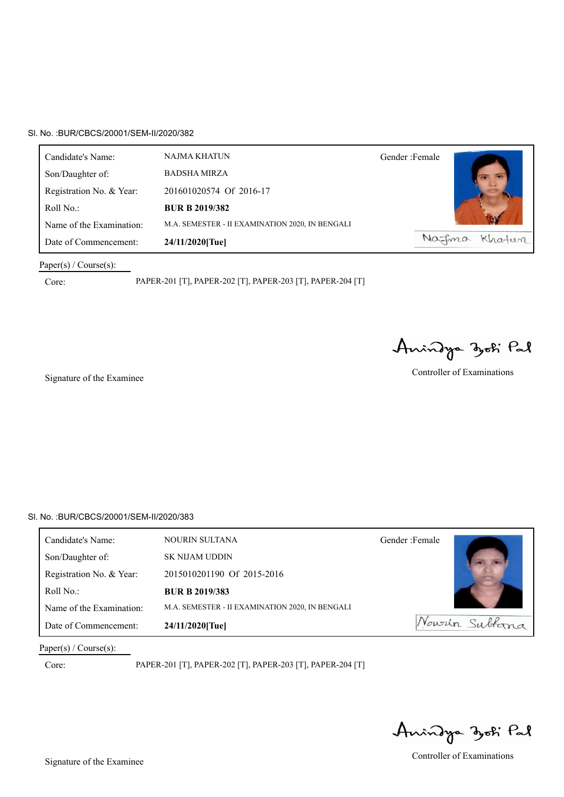| Candidate's Name:        | NAJMA KHATUN                                    | Gender: Female |
|--------------------------|-------------------------------------------------|----------------|
| Son/Daughter of:         | <b>BADSHA MIRZA</b>                             |                |
| Registration No. & Year: | 201601020574 Of 2016-17                         |                |
| Roll No.:                | <b>BUR B 2019/382</b>                           |                |
| Name of the Examination: | M.A. SEMESTER - II EXAMINATION 2020, IN BENGALI |                |
| Date of Commencement:    | 24/11/2020[Tue]                                 | Natima Khatun  |

# Paper(s) / Course(s):

Core: PAPER-201 [T], PAPER-202 [T], PAPER-203 [T], PAPER-204 [T]

Anindya zoti Pal

Signature of the Examinee Controller of Examinations

# Sl. No. :BUR/CBCS/20001/SEM-II/2020/383

| Candidate's Name:        | <b>NOURIN SULTANA</b>                           | Gender: Female |
|--------------------------|-------------------------------------------------|----------------|
| Son/Daughter of:         | <b>SK NIJAM UDDIN</b>                           |                |
| Registration No. & Year: | 2015010201190 Of 2015-2016                      |                |
| Roll No.:                | <b>BUR B 2019/383</b>                           |                |
| Name of the Examination: | M.A. SEMESTER - II EXAMINATION 2020, IN BENGALI |                |
| Date of Commencement:    | 24/11/2020[Tue]                                 | Nowrin Sultana |

Paper(s) / Course(s):

Anindya zoti Pal

Signature of the Examinee Controller of Examinations